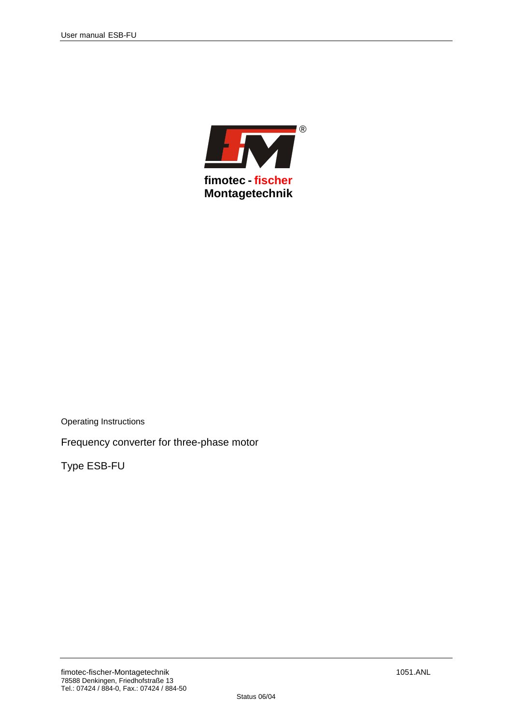

Operating Instructions

Frequency converter for three-phase motor

Type ESB-FU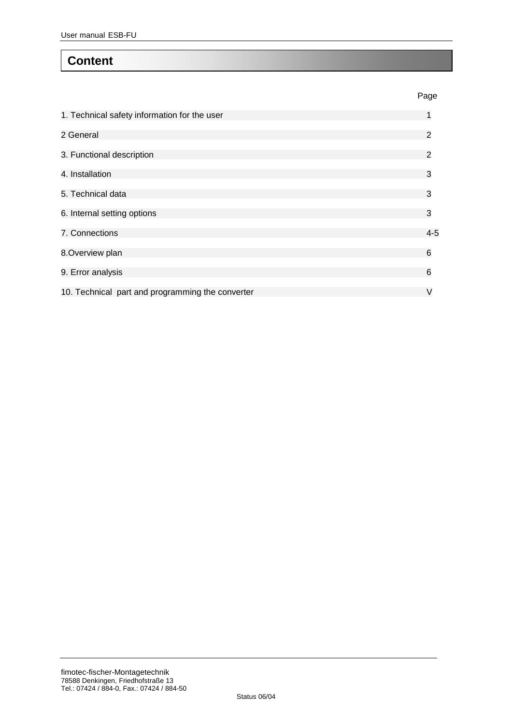## **Content**

|                                                  | Page    |
|--------------------------------------------------|---------|
| 1. Technical safety information for the user     | 1       |
| 2 General                                        | 2       |
| 3. Functional description                        | 2       |
| 4. Installation                                  | 3       |
| 5. Technical data                                | 3       |
| 6. Internal setting options                      | 3       |
| 7. Connections                                   | $4 - 5$ |
| 8. Overview plan                                 | 6       |
| 9. Error analysis                                | 6       |
| 10. Technical part and programming the converter | V       |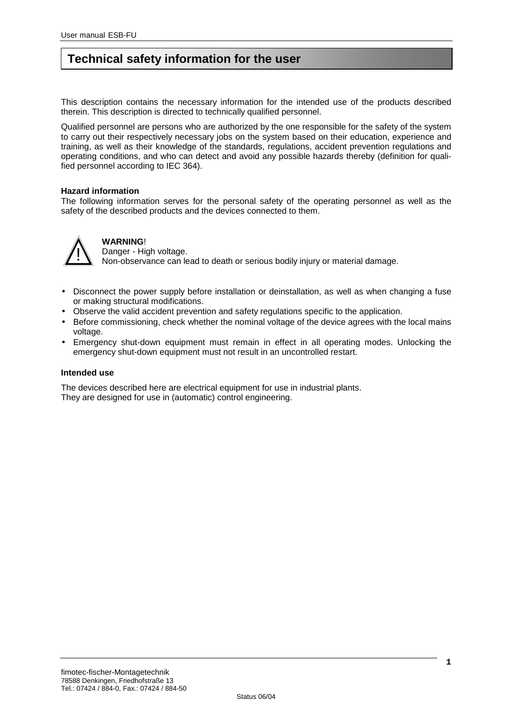# **Technical safety information for the user**

This description contains the necessary information for the intended use of the products described therein. This description is directed to technically qualified personnel.

Qualified personnel are persons who are authorized by the one responsible for the safety of the system to carry out their respectively necessary jobs on the system based on their education, experience and training, as well as their knowledge of the standards, regulations, accident prevention regulations and operating conditions, and who can detect and avoid any possible hazards thereby (definition for qualified personnel according to IEC 364).

#### **Hazard information**

The following information serves for the personal safety of the operating personnel as well as the safety of the described products and the devices connected to them.



#### **WARNING**!

Danger - High voltage.

Non-observance can lead to death or serious bodily injury or material damage.

- Disconnect the power supply before installation or deinstallation, as well as when changing a fuse or making structural modifications.
- Observe the valid accident prevention and safety regulations specific to the application.
- Before commissioning, check whether the nominal voltage of the device agrees with the local mains voltage.
- Emergency shut-down equipment must remain in effect in all operating modes. Unlocking the emergency shut-down equipment must not result in an uncontrolled restart.

#### **Intended use**

The devices described here are electrical equipment for use in industrial plants. They are designed for use in (automatic) control engineering.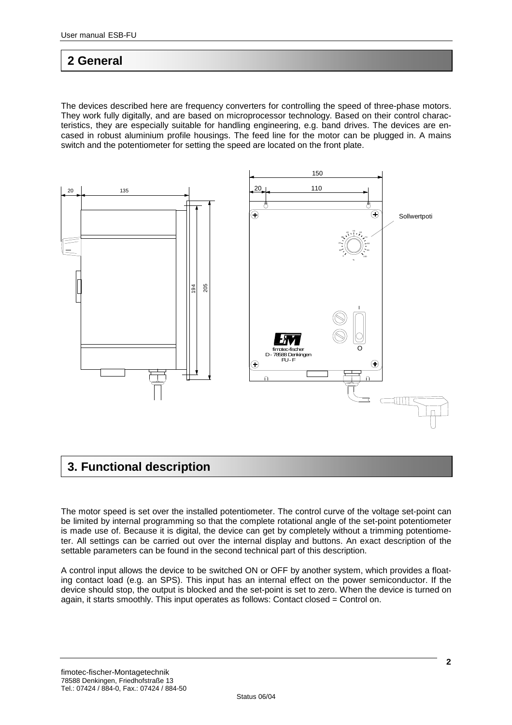### **2 General**

The devices described here are frequency converters for controlling the speed of three-phase motors. They work fully digitally, and are based on microprocessor technology. Based on their control characteristics, they are especially suitable for handling engineering, e.g. band drives. The devices are encased in robust aluminium profile housings. The feed line for the motor can be plugged in. A mains switch and the potentiometer for setting the speed are located on the front plate.



## **3. Functional description**

The motor speed is set over the installed potentiometer. The control curve of the voltage set-point can be limited by internal programming so that the complete rotational angle of the set-point potentiometer is made use of. Because it is digital, the device can get by completely without a trimming potentiometer. All settings can be carried out over the internal display and buttons. An exact description of the settable parameters can be found in the second technical part of this description.

A control input allows the device to be switched ON or OFF by another system, which provides a floating contact load (e.g. an SPS). This input has an internal effect on the power semiconductor. If the device should stop, the output is blocked and the set-point is set to zero. When the device is turned on again, it starts smoothly. This input operates as follows: Contact closed = Control on.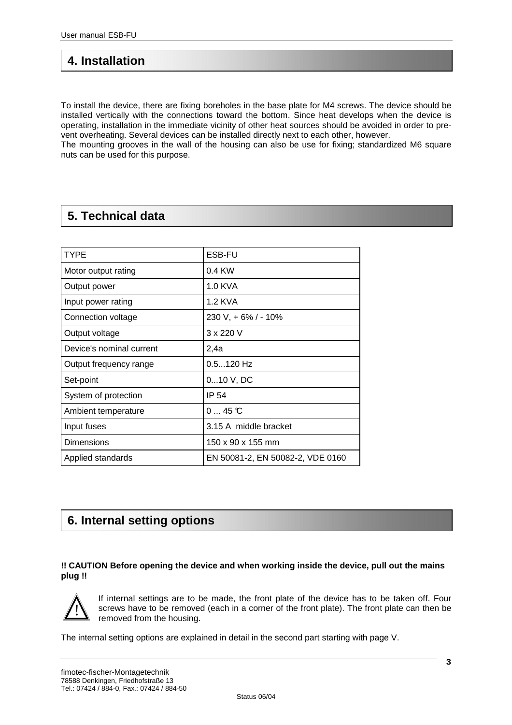## **4. Installation**

To install the device, there are fixing boreholes in the base plate for M4 screws. The device should be installed vertically with the connections toward the bottom. Since heat develops when the device is operating, installation in the immediate vicinity of other heat sources should be avoided in order to prevent overheating. Several devices can be installed directly next to each other, however.

The mounting grooves in the wall of the housing can also be use for fixing; standardized M6 square nuts can be used for this purpose.

# **5. Technical data**

| <b>TYPE</b>              | <b>ESB-FU</b>                    |
|--------------------------|----------------------------------|
| Motor output rating      | $0.4$ KW                         |
| Output power             | 1.0 KVA                          |
| Input power rating       | 1.2 KVA                          |
| Connection voltage       | 230 V, + 6% / - 10%              |
| Output voltage           | 3 x 220 V                        |
| Device's nominal current | 2,4a                             |
| Output frequency range   | $0.5120$ Hz                      |
| Set-point                | $010$ V, DC                      |
| System of protection     | IP 54                            |
| Ambient temperature      | 045C                             |
| Input fuses              | 3.15 A middle bracket            |
| <b>Dimensions</b>        | 150 x 90 x 155 mm                |
| Applied standards        | EN 50081-2, EN 50082-2, VDE 0160 |

## **6. Internal setting options**

#### **!! CAUTION Before opening the device and when working inside the device, pull out the mains plug !!**



If internal settings are to be made, the front plate of the device has to be taken off. Four screws have to be removed (each in a corner of the front plate). The front plate can then be removed from the housing.

The internal setting options are explained in detail in the second part starting with page V.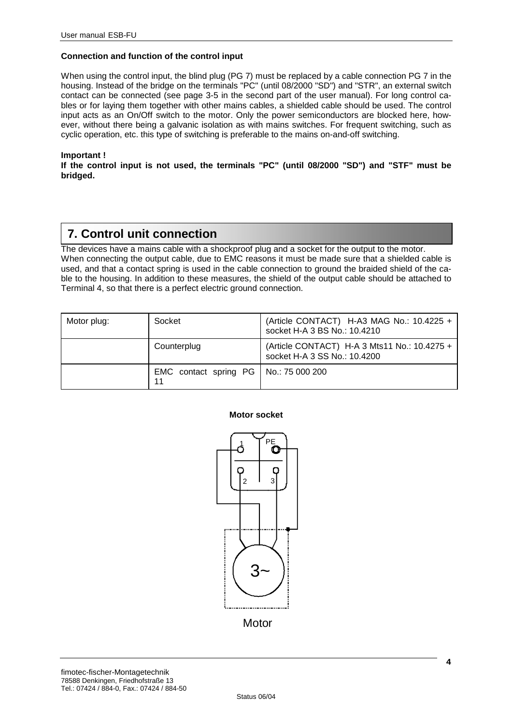#### **Connection and function of the control input**

When using the control input, the blind plug (PG 7) must be replaced by a cable connection PG 7 in the housing. Instead of the bridge on the terminals "PC" (until 08/2000 "SD") and "STR", an external switch contact can be connected (see page 3-5 in the second part of the user manual). For long control cables or for laying them together with other mains cables, a shielded cable should be used. The control input acts as an On/Off switch to the motor. Only the power semiconductors are blocked here, however, without there being a galvanic isolation as with mains switches. For frequent switching, such as cyclic operation, etc. this type of switching is preferable to the mains on-and-off switching.

#### **Important !**

**If the control input is not used, the terminals "PC" (until 08/2000 "SD") and "STF" must be bridged.** 

### **7. Control unit connection**

The devices have a mains cable with a shockproof plug and a socket for the output to the motor. When connecting the output cable, due to EMC reasons it must be made sure that a shielded cable is used, and that a contact spring is used in the cable connection to ground the braided shield of the cable to the housing. In addition to these measures, the shield of the output cable should be attached to Terminal 4, so that there is a perfect electric ground connection.

| Motor plug: | Socket                                        | (Article CONTACT) H-A3 MAG No.: 10.4225 +<br>socket H-A 3 BS No.: 10.4210    |
|-------------|-----------------------------------------------|------------------------------------------------------------------------------|
|             | Counterplug                                   | (Article CONTACT) H-A 3 Mts11 No.: 10.4275 +<br>socket H-A 3 SS No.: 10.4200 |
|             | EMC contact spring PG   No.: 75 000 200<br>11 |                                                                              |

#### **Motor socket**

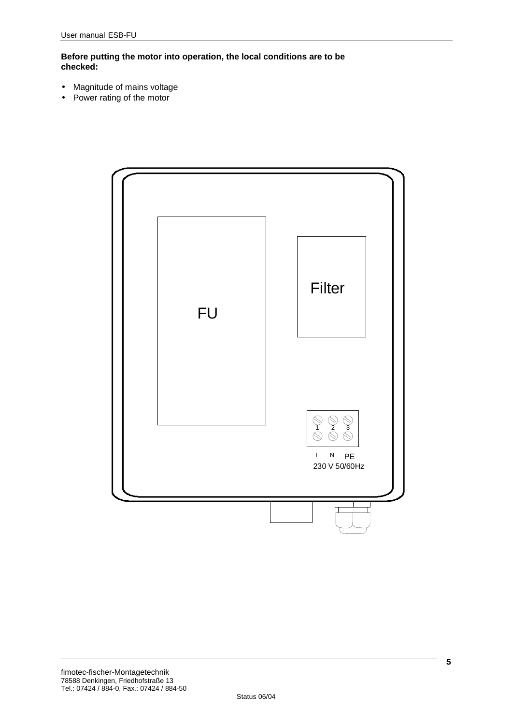**Before putting the motor into operation, the local conditions are to be checked:**

- Magnitude of mains voltage
- Power rating of the motor